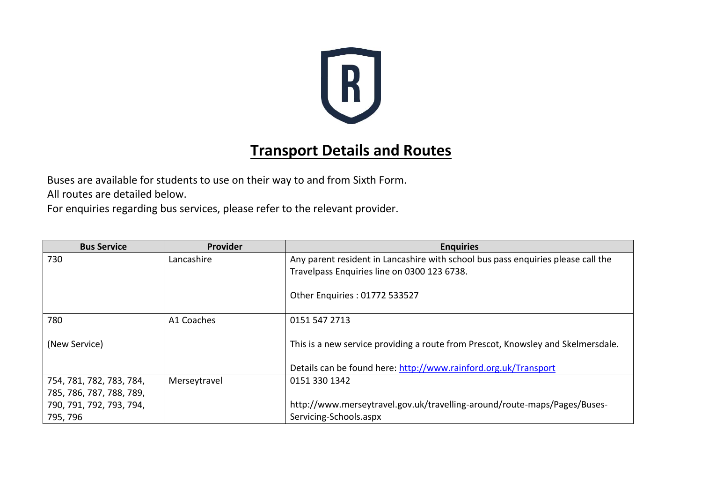

## **Transport Details and Routes**

Buses are available for students to use on their way to and from Sixth Form. All routes are detailed below.

For enquiries regarding bus services, please refer to the relevant provider.

| <b>Bus Service</b>       | Provider     | <b>Enquiries</b>                                                                 |
|--------------------------|--------------|----------------------------------------------------------------------------------|
| 730                      | Lancashire   | Any parent resident in Lancashire with school bus pass enquiries please call the |
|                          |              | Travelpass Enquiries line on 0300 123 6738.                                      |
|                          |              | Other Enquiries: 01772 533527                                                    |
| 780                      | A1 Coaches   | 0151 547 2713                                                                    |
| (New Service)            |              | This is a new service providing a route from Prescot, Knowsley and Skelmersdale. |
|                          |              | Details can be found here: http://www.rainford.org.uk/Transport                  |
| 754, 781, 782, 783, 784, | Merseytravel | 0151 330 1342                                                                    |
| 785, 786, 787, 788, 789, |              |                                                                                  |
| 790, 791, 792, 793, 794, |              | http://www.merseytravel.gov.uk/travelling-around/route-maps/Pages/Buses-         |
| 795, 796                 |              | Servicing-Schools.aspx                                                           |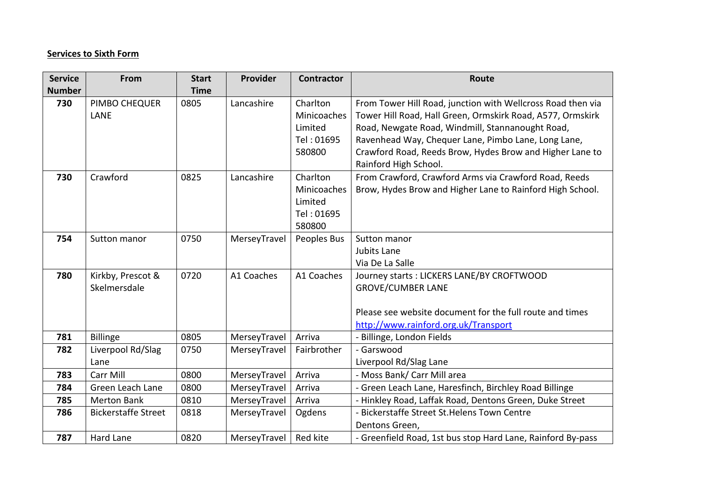## **Services to Sixth Form**

| <b>Service</b> | From                              | <b>Start</b> | Provider     | <b>Contractor</b>                                          | Route                                                                                                                                                                                                                                                                                                                     |
|----------------|-----------------------------------|--------------|--------------|------------------------------------------------------------|---------------------------------------------------------------------------------------------------------------------------------------------------------------------------------------------------------------------------------------------------------------------------------------------------------------------------|
| <b>Number</b>  |                                   | <b>Time</b>  |              |                                                            |                                                                                                                                                                                                                                                                                                                           |
| 730            | PIMBO CHEQUER<br>LANE             | 0805         | Lancashire   | Charlton<br>Minicoaches<br>Limited<br>Tel: 01695<br>580800 | From Tower Hill Road, junction with Wellcross Road then via<br>Tower Hill Road, Hall Green, Ormskirk Road, A577, Ormskirk<br>Road, Newgate Road, Windmill, Stannanought Road,<br>Ravenhead Way, Chequer Lane, Pimbo Lane, Long Lane,<br>Crawford Road, Reeds Brow, Hydes Brow and Higher Lane to<br>Rainford High School. |
| 730            | Crawford                          | 0825         | Lancashire   | Charlton<br>Minicoaches<br>Limited<br>Tel: 01695<br>580800 | From Crawford, Crawford Arms via Crawford Road, Reeds<br>Brow, Hydes Brow and Higher Lane to Rainford High School.                                                                                                                                                                                                        |
| 754            | Sutton manor                      | 0750         | MerseyTravel | Peoples Bus                                                | Sutton manor<br>Jubits Lane<br>Via De La Salle                                                                                                                                                                                                                                                                            |
| 780            | Kirkby, Prescot &<br>Skelmersdale | 0720         | A1 Coaches   | A1 Coaches                                                 | Journey starts: LICKERS LANE/BY CROFTWOOD<br><b>GROVE/CUMBER LANE</b><br>Please see website document for the full route and times<br>http://www.rainford.org.uk/Transport                                                                                                                                                 |
| 781            | <b>Billinge</b>                   | 0805         | MerseyTravel | Arriva                                                     | - Billinge, London Fields                                                                                                                                                                                                                                                                                                 |
| 782            | Liverpool Rd/Slag<br>Lane         | 0750         | MerseyTravel | Fairbrother                                                | - Garswood<br>Liverpool Rd/Slag Lane                                                                                                                                                                                                                                                                                      |
| 783            | Carr Mill                         | 0800         | MerseyTravel | Arriva                                                     | - Moss Bank/ Carr Mill area                                                                                                                                                                                                                                                                                               |
| 784            | Green Leach Lane                  | 0800         | MerseyTravel | Arriva                                                     | - Green Leach Lane, Haresfinch, Birchley Road Billinge                                                                                                                                                                                                                                                                    |
| 785            | <b>Merton Bank</b>                | 0810         | MerseyTravel | Arriva                                                     | - Hinkley Road, Laffak Road, Dentons Green, Duke Street                                                                                                                                                                                                                                                                   |
| 786            | <b>Bickerstaffe Street</b>        | 0818         | MerseyTravel | Ogdens                                                     | - Bickerstaffe Street St. Helens Town Centre<br>Dentons Green,                                                                                                                                                                                                                                                            |
| 787            | Hard Lane                         | 0820         | MerseyTravel | Red kite                                                   | - Greenfield Road, 1st bus stop Hard Lane, Rainford By-pass                                                                                                                                                                                                                                                               |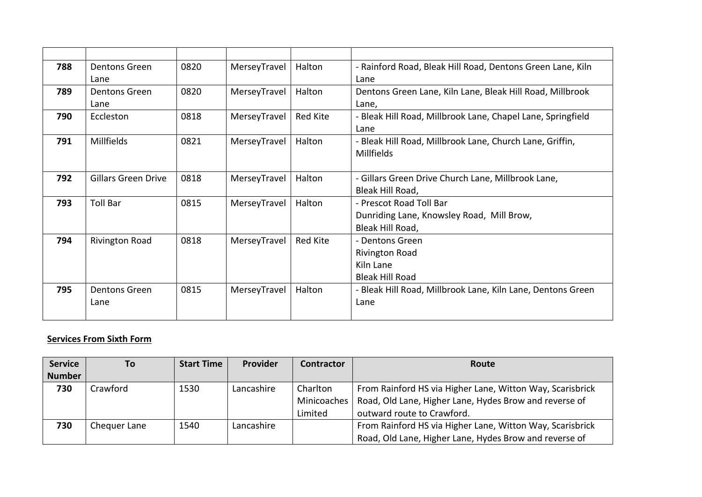| 788 | <b>Dentons Green</b><br>Lane | 0820 | MerseyTravel | Halton   | - Rainford Road, Bleak Hill Road, Dentons Green Lane, Kiln<br>Lane                       |
|-----|------------------------------|------|--------------|----------|------------------------------------------------------------------------------------------|
| 789 | <b>Dentons Green</b><br>Lane | 0820 | MerseyTravel | Halton   | Dentons Green Lane, Kiln Lane, Bleak Hill Road, Millbrook<br>Lane,                       |
| 790 | Eccleston                    | 0818 | MerseyTravel | Red Kite | - Bleak Hill Road, Millbrook Lane, Chapel Lane, Springfield<br>Lane                      |
| 791 | Millfields                   | 0821 | MerseyTravel | Halton   | - Bleak Hill Road, Millbrook Lane, Church Lane, Griffin,<br><b>Millfields</b>            |
| 792 | <b>Gillars Green Drive</b>   | 0818 | MerseyTravel | Halton   | - Gillars Green Drive Church Lane, Millbrook Lane,<br>Bleak Hill Road,                   |
| 793 | <b>Toll Bar</b>              | 0815 | MerseyTravel | Halton   | - Prescot Road Toll Bar<br>Dunriding Lane, Knowsley Road, Mill Brow,<br>Bleak Hill Road, |
| 794 | <b>Rivington Road</b>        | 0818 | MerseyTravel | Red Kite | - Dentons Green<br><b>Rivington Road</b><br>Kiln Lane<br><b>Bleak Hill Road</b>          |
| 795 | <b>Dentons Green</b><br>Lane | 0815 | MerseyTravel | Halton   | - Bleak Hill Road, Millbrook Lane, Kiln Lane, Dentons Green<br>Lane                      |

## **Services From Sixth Form**

| <b>Service</b> | Τo           | <b>Start Time</b> | Provider   | <b>Contractor</b> | Route                                                     |
|----------------|--------------|-------------------|------------|-------------------|-----------------------------------------------------------|
| <b>Number</b>  |              |                   |            |                   |                                                           |
| 730            | Crawford     | 1530              | Lancashire | Charlton          | From Rainford HS via Higher Lane, Witton Way, Scarisbrick |
|                |              |                   |            | Minicoaches       | Road, Old Lane, Higher Lane, Hydes Brow and reverse of    |
|                |              |                   |            | Limited           | outward route to Crawford.                                |
| 730            | Chequer Lane | 1540              | Lancashire |                   | From Rainford HS via Higher Lane, Witton Way, Scarisbrick |
|                |              |                   |            |                   | Road, Old Lane, Higher Lane, Hydes Brow and reverse of    |